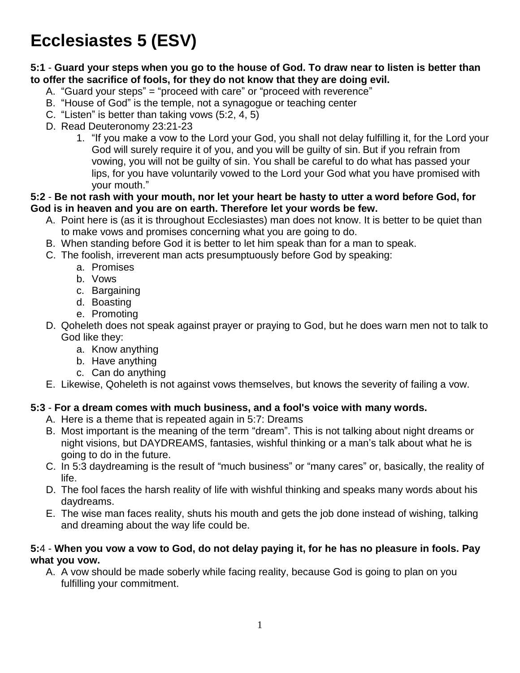# **Ecclesiastes 5 (ESV)**

#### **5:1** - **Guard your steps when you go to the house of God. To draw near to listen is better than to offer the sacrifice of fools, for they do not know that they are doing evil.**

- A. "Guard your steps" = "proceed with care" or "proceed with reverence"
- B. "House of God" is the temple, not a synagogue or teaching center
- C. "Listen" is better than taking vows (5:2, 4, 5)
- D. Read Deuteronomy 23:21-23
	- 1. "If you make a vow to the Lord your God, you shall not delay fulfilling it, for the Lord your God will surely require it of you, and you will be guilty of sin. But if you refrain from vowing, you will not be guilty of sin. You shall be careful to do what has passed your lips, for you have voluntarily vowed to the Lord your God what you have promised with your mouth."

#### **5:2** - **Be not rash with your mouth, nor let your heart be hasty to utter a word before God, for God is in heaven and you are on earth. Therefore let your words be few.**

- A. Point here is (as it is throughout Ecclesiastes) man does not know. It is better to be quiet than to make vows and promises concerning what you are going to do.
- B. When standing before God it is better to let him speak than for a man to speak.
- C. The foolish, irreverent man acts presumptuously before God by speaking:
	- a. Promises
	- b. Vows
	- c. Bargaining
	- d. Boasting
	- e. Promoting
- D. Qoheleth does not speak against prayer or praying to God, but he does warn men not to talk to God like they:
	- a. Know anything
	- b. Have anything
	- c. Can do anything
- E. Likewise, Qoheleth is not against vows themselves, but knows the severity of failing a vow.

#### **5:3** - **For a dream comes with much business, and a fool's voice with many words.**

- A. Here is a theme that is repeated again in 5:7: Dreams
- B. Most important is the meaning of the term "dream". This is not talking about night dreams or night visions, but DAYDREAMS, fantasies, wishful thinking or a man's talk about what he is going to do in the future.
- C. In 5:3 daydreaming is the result of "much business" or "many cares" or, basically, the reality of life.
- D. The fool faces the harsh reality of life with wishful thinking and speaks many words about his daydreams.
- E. The wise man faces reality, shuts his mouth and gets the job done instead of wishing, talking and dreaming about the way life could be.

#### **5:**4 - **When you vow a vow to God, do not delay paying it, for he has no pleasure in fools. Pay what you vow.**

A. A vow should be made soberly while facing reality, because God is going to plan on you fulfilling your commitment.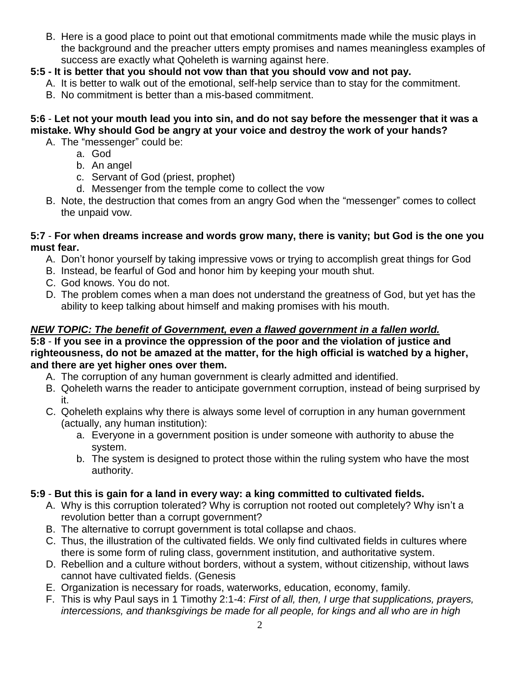B. Here is a good place to point out that emotional commitments made while the music plays in the background and the preacher utters empty promises and names meaningless examples of success are exactly what Qoheleth is warning against here.

# **5:5 - It is better that you should not vow than that you should vow and not pay.**

- A. It is better to walk out of the emotional, self-help service than to stay for the commitment.
- B. No commitment is better than a mis-based commitment.

# **5:6** - **Let not your mouth lead you into sin, and do not say before the messenger that it was a mistake. Why should God be angry at your voice and destroy the work of your hands?**

- A. The "messenger" could be:
	- a. God
	- b. An angel
	- c. Servant of God (priest, prophet)
	- d. Messenger from the temple come to collect the vow
- B. Note, the destruction that comes from an angry God when the "messenger" comes to collect the unpaid vow.

#### **5:7** - **For when dreams increase and words grow many, there is vanity; but God is the one you must fear.**

- A. Don't honor yourself by taking impressive vows or trying to accomplish great things for God
- B. Instead, be fearful of God and honor him by keeping your mouth shut.
- C. God knows. You do not.
- D. The problem comes when a man does not understand the greatness of God, but yet has the ability to keep talking about himself and making promises with his mouth.

### *NEW TOPIC: The benefit of Government, even a flawed government in a fallen world.*

#### **5:8** - **If you see in a province the oppression of the poor and the violation of justice and righteousness, do not be amazed at the matter, for the high official is watched by a higher, and there are yet higher ones over them.**

- A. The corruption of any human government is clearly admitted and identified.
- B. Qoheleth warns the reader to anticipate government corruption, instead of being surprised by it.
- C. Qoheleth explains why there is always some level of corruption in any human government (actually, any human institution):
	- a. Everyone in a government position is under someone with authority to abuse the system.
	- b. The system is designed to protect those within the ruling system who have the most authority.

# **5:9** - **But this is gain for a land in every way: a king committed to cultivated fields.**

- A. Why is this corruption tolerated? Why is corruption not rooted out completely? Why isn't a revolution better than a corrupt government?
- B. The alternative to corrupt government is total collapse and chaos.
- C. Thus, the illustration of the cultivated fields. We only find cultivated fields in cultures where there is some form of ruling class, government institution, and authoritative system.
- D. Rebellion and a culture without borders, without a system, without citizenship, without laws cannot have cultivated fields. (Genesis
- E. Organization is necessary for roads, waterworks, education, economy, family.
- F. This is why Paul says in 1 Timothy 2:1-4: *First of all, then, I urge that supplications, prayers, intercessions, and thanksgivings be made for all people, for kings and all who are in high*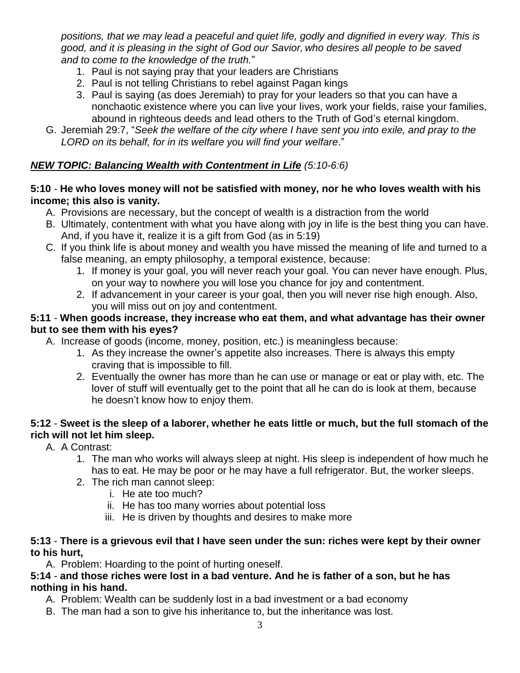*positions, that we may lead a peaceful and quiet life, godly and dignified in every way. This is good, and it is pleasing in the sight of God our Savior, who desires all people to be saved and to come to the knowledge of the truth.*"

- 1. Paul is not saying pray that your leaders are Christians
- 2. Paul is not telling Christians to rebel against Pagan kings
- 3. Paul is saying (as does Jeremiah) to pray for your leaders so that you can have a nonchaotic existence where you can live your lives, work your fields, raise your families, abound in righteous deeds and lead others to the Truth of God's eternal kingdom.
- G. Jeremiah 29:7, "*Seek the welfare of the city where I have sent you into exile, and pray to the LORD on its behalf, for in its welfare you will find your welfare*."

# *NEW TOPIC: Balancing Wealth with Contentment in Life (5:10-6:6)*

#### **5:10** - **He who loves money will not be satisfied with money, nor he who loves wealth with his income; this also is vanity.**

- A. Provisions are necessary, but the concept of wealth is a distraction from the world
- B. Ultimately, contentment with what you have along with joy in life is the best thing you can have. And, if you have it, realize it is a gift from God (as in 5:19)
- C. If you think life is about money and wealth you have missed the meaning of life and turned to a false meaning, an empty philosophy, a temporal existence, because:
	- 1. If money is your goal, you will never reach your goal. You can never have enough. Plus, on your way to nowhere you will lose you chance for joy and contentment.
	- 2. If advancement in your career is your goal, then you will never rise high enough. Also, you will miss out on joy and contentment.

#### **5:11** - **When goods increase, they increase who eat them, and what advantage has their owner but to see them with his eyes?**

- A. Increase of goods (income, money, position, etc.) is meaningless because:
	- 1. As they increase the owner's appetite also increases. There is always this empty craving that is impossible to fill.
	- 2. Eventually the owner has more than he can use or manage or eat or play with, etc. The lover of stuff will eventually get to the point that all he can do is look at them, because he doesn't know how to enjoy them.

### **5:12** - **Sweet is the sleep of a laborer, whether he eats little or much, but the full stomach of the rich will not let him sleep.**

- A. A Contrast:
	- 1. The man who works will always sleep at night. His sleep is independent of how much he has to eat. He may be poor or he may have a full refrigerator. But, the worker sleeps.
	- 2. The rich man cannot sleep:
		- i. He ate too much?
		- ii. He has too many worries about potential loss
		- iii. He is driven by thoughts and desires to make more

#### **5:13** - **There is a grievous evil that I have seen under the sun: riches were kept by their owner to his hurt,**

A. Problem: Hoarding to the point of hurting oneself.

#### **5:14** - **and those riches were lost in a bad venture. And he is father of a son, but he has nothing in his hand.**

- A. Problem: Wealth can be suddenly lost in a bad investment or a bad economy
- B. The man had a son to give his inheritance to, but the inheritance was lost.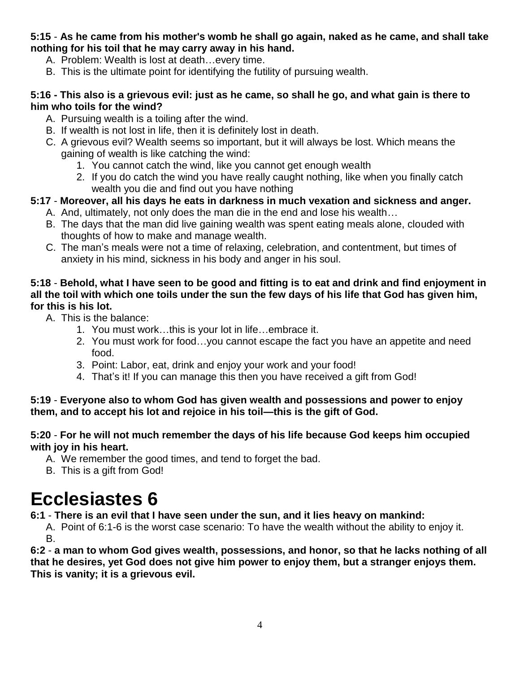#### **5:15** - **As he came from his mother's womb he shall go again, naked as he came, and shall take nothing for his toil that he may carry away in his hand.**

- A. Problem: Wealth is lost at death…every time.
- B. This is the ultimate point for identifying the futility of pursuing wealth.

#### **5:16 - This also is a grievous evil: just as he came, so shall he go, and what gain is there to him who toils for the wind?**

- A. Pursuing wealth is a toiling after the wind.
- B. If wealth is not lost in life, then it is definitely lost in death.
- C. A grievous evil? Wealth seems so important, but it will always be lost. Which means the gaining of wealth is like catching the wind:
	- 1. You cannot catch the wind, like you cannot get enough wealth
	- 2. If you do catch the wind you have really caught nothing, like when you finally catch wealth you die and find out you have nothing

# **5:17** - **Moreover, all his days he eats in darkness in much vexation and sickness and anger.**

- A. And, ultimately, not only does the man die in the end and lose his wealth…
- B. The days that the man did live gaining wealth was spent eating meals alone, clouded with thoughts of how to make and manage wealth.
- C. The man's meals were not a time of relaxing, celebration, and contentment, but times of anxiety in his mind, sickness in his body and anger in his soul.

#### **5:18** - **Behold, what I have seen to be good and fitting is to eat and drink and find enjoyment in all the toil with which one toils under the sun the few days of his life that God has given him, for this is his lot.**

- A. This is the balance:
	- 1. You must work…this is your lot in life…embrace it.
	- 2. You must work for food…you cannot escape the fact you have an appetite and need food.
	- 3. Point: Labor, eat, drink and enjoy your work and your food!
	- 4. That's it! If you can manage this then you have received a gift from God!

### **5:19** - **Everyone also to whom God has given wealth and possessions and power to enjoy them, and to accept his lot and rejoice in his toil—this is the gift of God.**

#### **5:20** - **For he will not much remember the days of his life because God keeps him occupied with joy in his heart.**

- A. We remember the good times, and tend to forget the bad.
- B. This is a gift from God!

# **Ecclesiastes 6**

# **6:1** - **There is an evil that I have seen under the sun, and it lies heavy on mankind:**

A. Point of 6:1-6 is the worst case scenario: To have the wealth without the ability to enjoy it. B.

**6:2** - **a man to whom God gives wealth, possessions, and honor, so that he lacks nothing of all that he desires, yet God does not give him power to enjoy them, but a stranger enjoys them. This is vanity; it is a grievous evil.**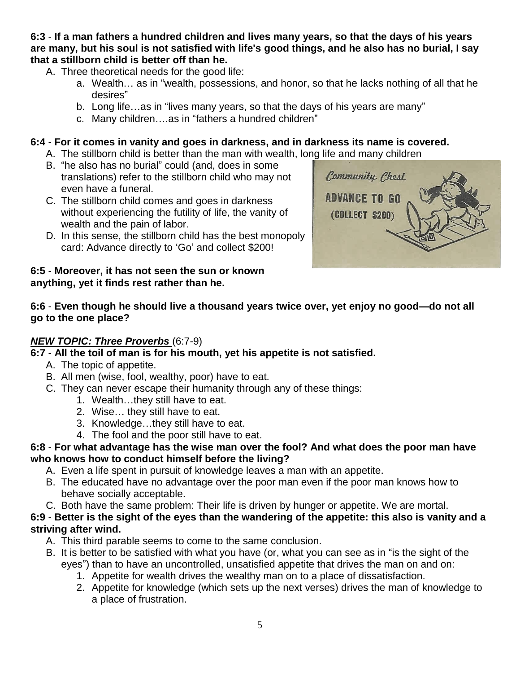#### **6:3** - **If a man fathers a hundred children and lives many years, so that the days of his years are many, but his soul is not satisfied with life's good things, and he also has no burial, I say that a stillborn child is better off than he.**

- A. Three theoretical needs for the good life:
	- a. Wealth… as in "wealth, possessions, and honor, so that he lacks nothing of all that he desires"
	- b. Long life…as in "lives many years, so that the days of his years are many"
	- c. Many children….as in "fathers a hundred children"

# **6:4** - **For it comes in vanity and goes in darkness, and in darkness its name is covered.**

- A. The stillborn child is better than the man with wealth, long life and many children
- B. "he also has no burial" could (and, does in some translations) refer to the stillborn child who may not even have a funeral.
- C. The stillborn child comes and goes in darkness without experiencing the futility of life, the vanity of wealth and the pain of labor.
- D. In this sense, the stillborn child has the best monopoly card: Advance directly to 'Go' and collect \$200!

#### **6:5** - **Moreover, it has not seen the sun or known anything, yet it finds rest rather than he.**



# **6:6** - **Even though he should live a thousand years twice over, yet enjoy no good—do not all go to the one place?**

# *NEW TOPIC: Three Proverbs* (6:7-9)

# **6:7** - **All the toil of man is for his mouth, yet his appetite is not satisfied.**

- A. The topic of appetite.
- B. All men (wise, fool, wealthy, poor) have to eat.
- C. They can never escape their humanity through any of these things:
	- 1. Wealth…they still have to eat.
	- 2. Wise… they still have to eat.
	- 3. Knowledge…they still have to eat.
	- 4. The fool and the poor still have to eat.

#### **6:8** - **For what advantage has the wise man over the fool? And what does the poor man have who knows how to conduct himself before the living?**

- A. Even a life spent in pursuit of knowledge leaves a man with an appetite.
- B. The educated have no advantage over the poor man even if the poor man knows how to behave socially acceptable.
- C. Both have the same problem: Their life is driven by hunger or appetite. We are mortal.

#### **6:9** - **Better is the sight of the eyes than the wandering of the appetite: this also is vanity and a striving after wind.**

- A. This third parable seems to come to the same conclusion.
- B. It is better to be satisfied with what you have (or, what you can see as in "is the sight of the eyes") than to have an uncontrolled, unsatisfied appetite that drives the man on and on:
	- 1. Appetite for wealth drives the wealthy man on to a place of dissatisfaction.
	- 2. Appetite for knowledge (which sets up the next verses) drives the man of knowledge to a place of frustration.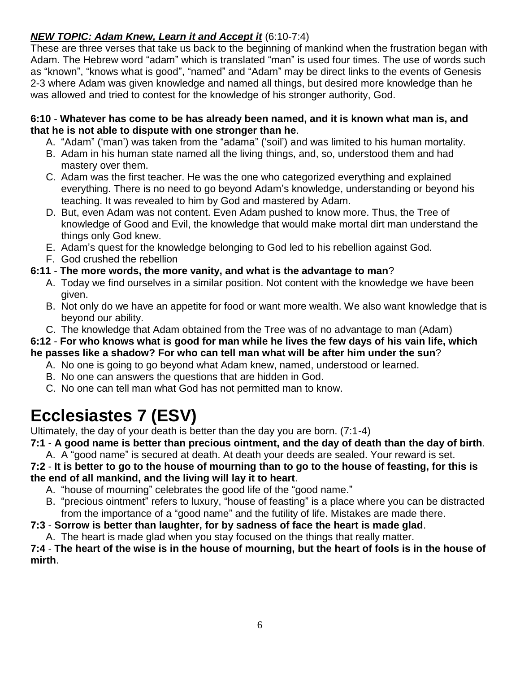# *NEW TOPIC: Adam Knew, Learn it and Accept it* (6:10-7:4)

These are three verses that take us back to the beginning of mankind when the frustration began with Adam. The Hebrew word "adam" which is translated "man" is used four times. The use of words such as "known", "knows what is good", "named" and "Adam" may be direct links to the events of Genesis 2-3 where Adam was given knowledge and named all things, but desired more knowledge than he was allowed and tried to contest for the knowledge of his stronger authority, God.

#### **6:10** - **Whatever has come to be has already been named, and it is known what man is, and that he is not able to dispute with one stronger than he**.

- A. "Adam" ('man') was taken from the "adama" ('soil') and was limited to his human mortality.
- B. Adam in his human state named all the living things, and, so, understood them and had mastery over them.
- C. Adam was the first teacher. He was the one who categorized everything and explained everything. There is no need to go beyond Adam's knowledge, understanding or beyond his teaching. It was revealed to him by God and mastered by Adam.
- D. But, even Adam was not content. Even Adam pushed to know more. Thus, the Tree of knowledge of Good and Evil, the knowledge that would make mortal dirt man understand the things only God knew.
- E. Adam's quest for the knowledge belonging to God led to his rebellion against God.
- F. God crushed the rebellion

# **6:11** - **The more words, the more vanity, and what is the advantage to man**?

- A. Today we find ourselves in a similar position. Not content with the knowledge we have been given.
- B. Not only do we have an appetite for food or want more wealth. We also want knowledge that is beyond our ability.
- C. The knowledge that Adam obtained from the Tree was of no advantage to man (Adam)

# **6:12** - **For who knows what is good for man while he lives the few days of his vain life, which**

# **he passes like a shadow? For who can tell man what will be after him under the sun**?

- A. No one is going to go beyond what Adam knew, named, understood or learned.
- B. No one can answers the questions that are hidden in God.
- C. No one can tell man what God has not permitted man to know.

# **Ecclesiastes 7 (ESV)**

Ultimately, the day of your death is better than the day you are born. (7:1-4)

**7:1** - **A good name is better than precious ointment, and the day of death than the day of birth**.

A. A "good name" is secured at death. At death your deeds are sealed. Your reward is set. **7:2** - **It is better to go to the house of mourning than to go to the house of feasting, for this is the end of all mankind, and the living will lay it to heart**.

- A. "house of mourning" celebrates the good life of the "good name."
- B. "precious ointment" refers to luxury, "house of feasting" is a place where you can be distracted from the importance of a "good name" and the futility of life. Mistakes are made there.

# **7:3** - **Sorrow is better than laughter, for by sadness of face the heart is made glad**.

A. The heart is made glad when you stay focused on the things that really matter.

#### **7:4** - **The heart of the wise is in the house of mourning, but the heart of fools is in the house of mirth**.